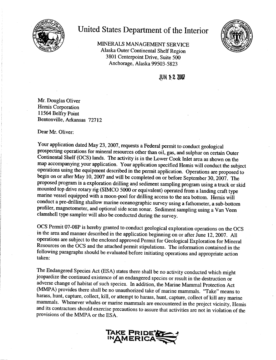

## United States Department of the Interior

MINERALS MANAGEMENT SERVICE Alaska Outer Continental Shelf Region 3801 Centerpoint Drive. Suite 500 Anchorage, Alaska 99503-5823



**JUN 1-2 2007** 

Mr. Douglas Oliver Hemis Corporation 11564 Belfry Point Bentonville, Arkansas 72712

Dear Mr. Oliver:

Your application dated May 23, 2007, requests a Federal permit to conduct geological prospecting operations for mineral resources other than oil, gas, and sulphur on certain Outer Continental Shelf (OCS) lands. The activity is in the Lower Cook Inlet area as shown on the map accompanying your application. Your application specified Hemis will conduct the subject operations using the equipment described in the permit application. Operations are proposed to begin on or after May 10, 2007 and will be completed on or before September 30, 2007. The proposed program is a exploration drilling and sediment sampling program using a truck or skid mounted top drive rotary rig (SIMCO 5000 or equivalent) operated from a landing craft type marine vessel equipped with a moon-pool for drilling access to the sea bottom. Hemis will conduct a pre-drilling shallow marine oceanographic survey using a fathometer, a sub-bottom profiler, magnetometer, and optional side scan sonar. Sediment sampling using a Van Veen clamshell type sampler will also be conducted during the survey.

OCS Permit 07-08P is hereby granted to conduct geological exploration operations on the OCS in the area and manner described in the application beginning on or after June 12, 2007. All operations are subject to the enclosed approved Permit for Geological Exploration for Mineral Resources on the OCS and the attached permit stipulations. The information contained in the following paragraphs should be evaluated before initiating operations and appropriate action taken:

The Endangered Species Act (ESA) states there shall be no activity conducted which might jeopardize the continued existence of an endangered species or result in the destruction or adverse change of habitat of such species. In addition, the Marine Mammal Protection Act (MMPA) provides there shall be no unauthorized take of marine mammals. "Take" means to harass, hunt, capture, collect, kill, or attempt to harass, hunt, capture, collect of kill any marine mammals. Whenever whales or marine mammals are encountered in the project vicinity, Hemis and its contractors should exercise precautions to assure that activities are not in violation of the provisions of the MMPA or the ESA.

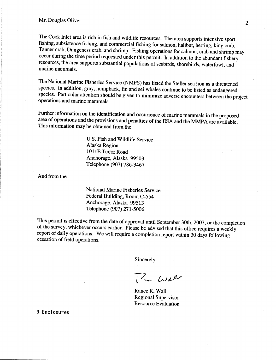The Cook Inlet area is rich in fish and wildlife resources. The area supports intensive sport fishing, subsistence fishing, and commercial fishing for salmon, halibut, herring, king crab, Tanner crab, Dungeness crab, and shrimp. Fishing operations for salmon, crab and shrimp may occur during the time period requested under this permit. In addition to the abundant fishery resources, the area supports substantial populations of seabirds, shorebirds, waterfowl, and marine mammals.

The National Marine Fisheries Service (NMFS) has listed the Steller sea lion as a threatened species. In addition, gray, humpback, fin and sei whales continue to be listed as endangered species. Particular attention should be given to minimize adverse encounters between the project operations and marine mammals.

Further information on the identification and occurrence of marine mammals in the proposed area of operations and the provisions and penalties of the ESA and the MMPA are available. This information may be obtained from the

> U.S. Fish and Wildlife Service Alaska Region 1011E.Tudor Road Anchorage, Alaska 99503 Telephone (907) 786-3467

And from the

National Marine Fisheries Service Federal Building, Room C-554 Anchorage, Alaska 99513 Telephone (907) 271-5006

This permit is effective from the date of approval until September 30th, 2007, or the completion of the survey, whichever occurs earlier. Please be advised that this office requires a weekly report of daily operations. We will require a completion report within 30 days following cessation of field operations.

Sincerely,

12 Wall

Rance R. Wall **Regional Supervisor Resource Evaluation** 

3 Enclosures

 $\overline{2}$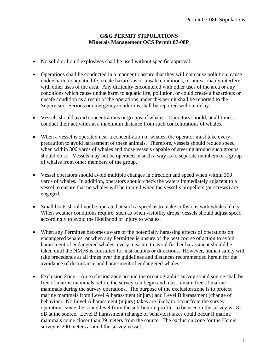## **G&G PERMIT STIPULATIONS Minerals Management OCS Permit 07-08P**

- No solid or liquid explosives shall be used without specific approval.
- Operations shall be conducted in a manner to assure that they will not cause pollution, cause undue harm to aquatic life, create hazardous or unsafe conditions, or unreasonably interfere with other uses of the area. Any difficulty encountered with other uses of the area or any conditions which cause undue harm to aquatic life, pollution, or could create a hazardous or unsafe condition as a result of the operations under this permit shall be reported to the Supervisor. Serious or emergency conditions shall be reported without delay.
- Vessels should avoid concentrations or groups of whales. Operators should, at all times, conduct their activities at a maximum distance from such concentrations of whales.
- When a vessel is operated near a concentration of whales, the operator must take every precaution to avoid harassment of these animals. Therefore, vessels should reduce speed when within 300 yards of whales and those vessels capable of steering around such groups should do so. Vessels may not be operated in such a way as to separate members of a group of whales from other members of the group.
- Vessel operators should avoid multiple changes in direction and speed when within 300 yards of whales. In addition, operators should check the waters immediately adjacent to a vessel to ensure that no whales will be injured when the vessel's propellers (or screws) are engaged.
- Small boats should not be operated at such a speed as to make collisions with whales likely. When weather conditions require, such as when visibility drops, vessels should adjust speed accordingly to avoid the likelihood of injury to whales.
- When any Permittee becomes aware of the potentially harassing effects of operations on endangered whales, or when any Permittee is unsure of the best course of action to avoid harassment of endangered whales, every measure to avoid further harassment should be taken until the NMFS is consulted for instructions or directions. However, human safety will take precedence at all times over the guidelines and distances recommended herein for the avoidance of disturbance and harassment of endangered whales.
- Exclusion Zone An exclusion zone around the oceanographic-survey sound source shall be free of marine mammals before the survey can begin and must remain free of marine mammals during the survey operations. The purpose of the exclusion zone is to protect marine mammals from Level A harassment (injury) and Level B harassment (change of behavior). No Level A harassment (injury) takes are likely to occur from the survey operations since the sound level from the sub-bottom profiler to be used in the survey is 182 dB at the source. Level B harassment (change of behavior) takes could occur if marine mammals come closer than 29 meters from the source. The exclusion zone for the Hemis survey is 200 meters around the survey vessel.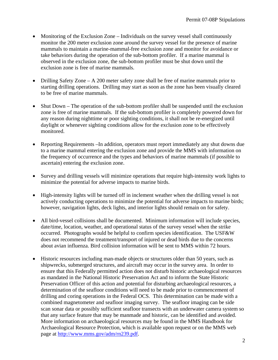- Monitoring of the Exclusion Zone Individuals on the survey vessel shall continuously monitor the 200 meter exclusion zone around the survey vessel for the presence of marine mammals to maintain a marine-mammal-free exclusion zone and monitor for avoidance or take behaviors during the operation of the sub-bottom profiler. If a marine mammal is observed in the exclusion zone, the sub-bottom profiler must be shut down until the exclusion zone is free of marine mammals.
- Drilling Safety Zone A 200 meter safety zone shall be free of marine mammals prior to starting drilling operations. Drilling may start as soon as the zone has been visually cleared to be free of marine mammals.
- Shut Down The operation of the sub-bottom profiler shall be suspended until the exclusion zone is free of marine mammals. If the sub-bottom profiler is completely powered down for any reason during nighttime or poor sighting conditions, it shall not be re-energized until daylight or whenever sighting conditions allow for the exclusion zone to be effectively monitored.
- Reporting Requirements –In addition, operators must report immediately any shut downs due to a marine mammal entering the exclusion zone and provide the MMS with information on the frequency of occurrence and the types and behaviors of marine mammals (if possible to ascertain) entering the exclusion zone.
- Survey and drilling vessels will minimize operations that require high-intensity work lights to minimize the potential for adverse impacts to marine birds.
- High-intensity lights will be turned off in inclement weather when the drilling vessel is not actively conducting operations to minimize the potential for adverse impacts to marine birds; however, navigation lights, deck lights, and interior lights should remain on for safety.
- All bird-vessel collisions shall be documented. Minimum information will include species, date/time, location, weather, and operational status of the survey vessel when the strike occurred. Photographs would be helpful to confirm species identification. The USF&W does not recommend the treatment/transport of injured or dead birds due to the concerns about avian influenza. Bird collision information will be sent to MMS within 72 hours.
- Historic resources including man-made objects or structures older than 50 years, such as shipwrecks, submerged structures, and aircraft may occur in the survey area. In order to ensure that this Federally permitted action does not disturb historic archaeological resources as mandated in the National Historic Preservation Act and to inform the State Historic Preservation Officer of this action and potential for disturbing archaeological resources, a determination of the seafloor conditions will need to be made prior to commencement of drilling and coring operations in the Federal OCS. This determination can be made with a combined magnetometer and seafloor imaging survey. The seafloor imaging can be side scan sonar data or possibly sufficient seafloor transects with an underwater camera system so that any surface feature that may be manmade and historic, can be identified and avoided. More information on archaeological resources may be found in the MMS Handbook for Archaeological Resource Protection, which is available upon request or on the MMS web page at [http://www.mms.gov/adm/rn239.pdf.](http://www.mms.gov/adm/rn239.pdf)